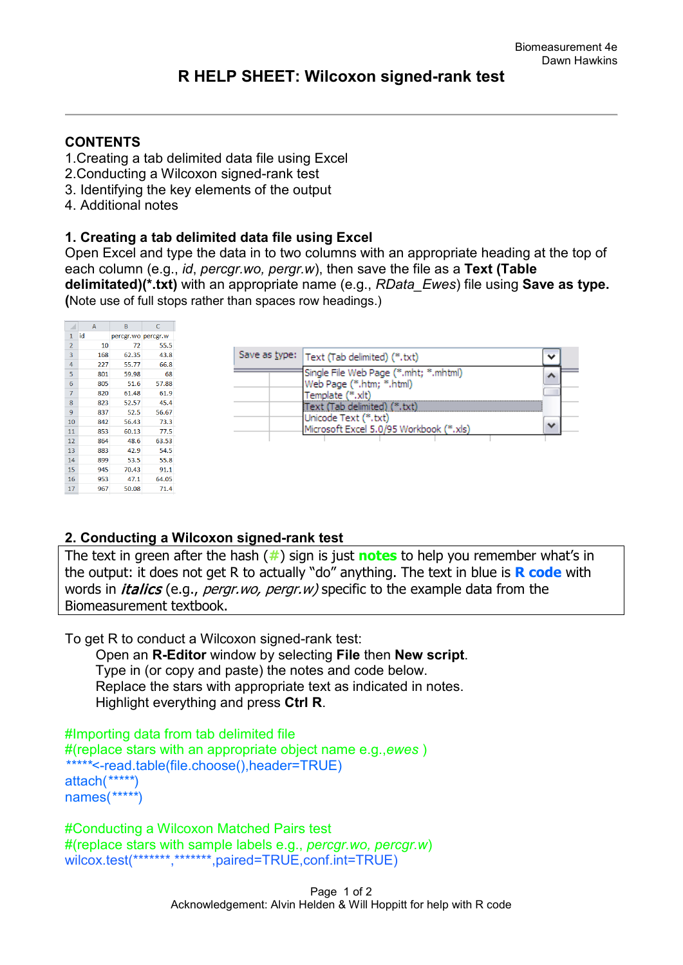## **CONTENTS**

- 1.Creating a tab delimited data file using Excel
- 2.Conducting a Wilcoxon signed-rank test
- 3. Identifying the key elements of the output
- 4. Additional notes

## **1. Creating a tab delimited data file using Excel**

Open Excel and type the data in to two columns with an appropriate heading at the top of each column (e.g., *id*, *percgr.wo, pergr.w*), then save the file as a **Text (Table delimitated)(\*.txt)** with an appropriate name (e.g., *RData\_Ewes*) file using **Save as type. (**Note use of full stops rather than spaces row headings.)

|                | A   | B                  | C     |
|----------------|-----|--------------------|-------|
| $\mathbf{1}$   | id  | percgr.wo percgr.w |       |
| $\overline{2}$ | 10  | 72                 | 55.5  |
| 3              | 168 | 62.35              | 43.8  |
| 4              | 227 | 55.77              | 66.8  |
| 5              | 801 | 59.98              | 68    |
| 6              | 805 | 51.6               | 57.88 |
| 7              | 820 | 61.48              | 61.9  |
| 8              | 823 | 52.57              | 45.4  |
| 9              | 837 | 52.5               | 56.67 |
| 10             | 842 | 56.43              | 73.3  |
| 11             | 853 | 60.13              | 77.5  |
| 12             | 864 | 48.6               | 63.53 |
| 13             | 883 | 42.9               | 54.5  |
| 14             | 899 | 53.5               | 55.8  |
| 15             | 945 | 70.43              | 91.1  |
| 16             | 953 | 47.1               | 64.05 |
| 17             | 967 | 50.08              | 71.4  |

| Single File Web Page (*.mht; *.mhtml)<br>Web Page (*.htm; *.html)                               |  |
|-------------------------------------------------------------------------------------------------|--|
| Template (*.xlt)                                                                                |  |
| Text (Tab delimited) (*.txt)<br>Unicode Text (*.txt)<br>Microsoft Excel 5.0/95 Workbook (*.xls) |  |

# **2. Conducting a Wilcoxon signed-rank test**

The text in green after the hash (**#**) sign is just **notes** to help you remember what's in the output: it does not get R to actually "do" anything. The text in blue is **R code** with words in *italics* (e.g., *pergr.wo, pergr.w*) specific to the example data from the Biomeasurement textbook.

To get R to conduct a Wilcoxon signed-rank test:

 Open an **R-Editor** window by selecting **File** then **New script**. Type in (or copy and paste) the notes and code below. Replace the stars with appropriate text as indicated in notes. Highlight everything and press **Ctrl R**.

```
#Importing data from tab delimited file 
#(replace stars with an appropriate object name e.g.,ewes )
*****<-read.table(file.choose(),header=TRUE)
attach(*****)
names(*****)
```
#Conducting a Wilcoxon Matched Pairs test #(replace stars with sample labels e.g., *percgr.wo, percgr.w*) wilcox.test(\*\*\*\*\*\*\*,\*\*\*\*\*\*\*,paired=TRUE,conf.int=TRUE)